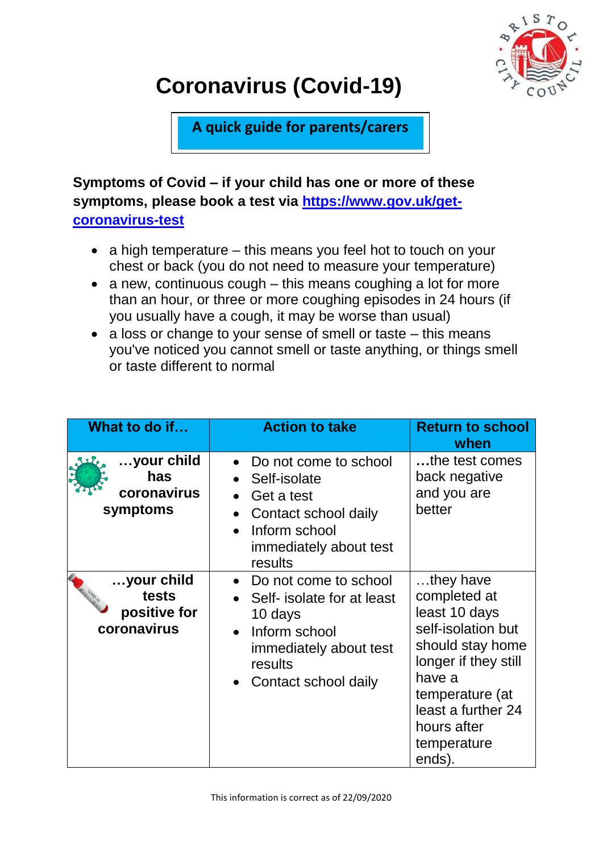

## **Coronavirus (Covid-19)**

**A quick guide for parents/carers**

**Symptoms of Covid – if your child has one or more of these symptoms, please book a test via [https://www.gov.uk/get](https://www.gov.uk/get-coronavirus-test)[coronavirus-test](https://www.gov.uk/get-coronavirus-test)**

- $\bullet$  a high temperature this means you feel hot to touch on your chest or back (you do not need to measure your temperature)
- a new, continuous cough this means coughing a lot for more than an hour, or three or more coughing episodes in 24 hours (if you usually have a cough, it may be worse than usual)
- a loss or change to your sense of smell or taste this means you've noticed you cannot smell or taste anything, or things smell or taste different to normal

| What to do if                                      | <b>Action to take</b>                                                                                                                          | <b>Return to school</b><br>when                                                                                                                                                                         |
|----------------------------------------------------|------------------------------------------------------------------------------------------------------------------------------------------------|---------------------------------------------------------------------------------------------------------------------------------------------------------------------------------------------------------|
| your child<br>has<br>coronavirus<br>symptoms       | Do not come to school<br>Self-isolate<br>Get a test<br>Contact school daily<br>Inform school<br>immediately about test<br>results              | the test comes<br>back negative<br>and you are<br>better                                                                                                                                                |
| your child<br>tests<br>positive for<br>coronavirus | Do not come to school<br>Self- isolate for at least<br>10 days<br>Inform school<br>immediately about test<br>results<br>• Contact school daily | they have<br>completed at<br>least 10 days<br>self-isolation but<br>should stay home<br>longer if they still<br>have a<br>temperature (at<br>least a further 24<br>hours after<br>temperature<br>ends). |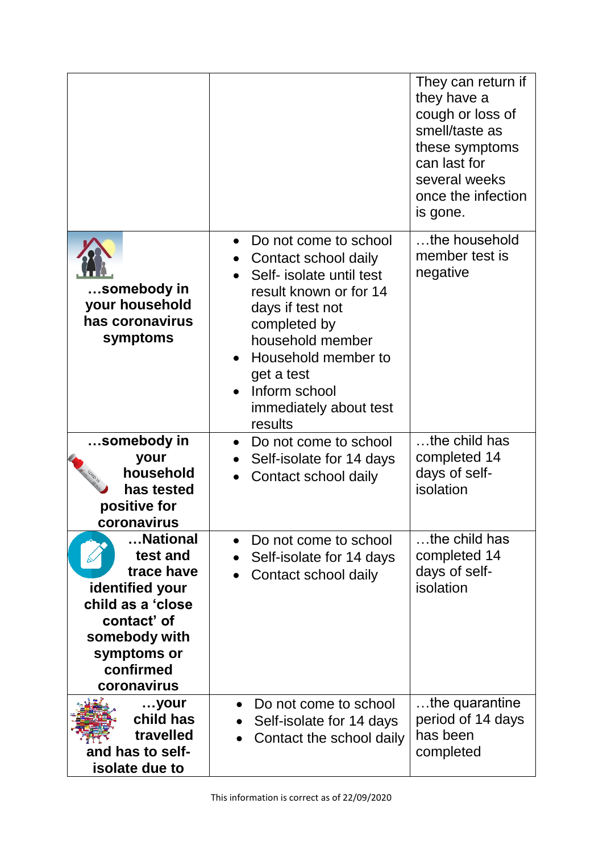|                                                                                                                                                       |                                                                                                                                                                                                                                                                     | They can return if<br>they have a<br>cough or loss of<br>smell/taste as<br>these symptoms<br>can last for<br>several weeks<br>once the infection<br>is gone. |
|-------------------------------------------------------------------------------------------------------------------------------------------------------|---------------------------------------------------------------------------------------------------------------------------------------------------------------------------------------------------------------------------------------------------------------------|--------------------------------------------------------------------------------------------------------------------------------------------------------------|
| somebody in<br>your household<br>has coronavirus<br>symptoms                                                                                          | Do not come to school<br>Contact school daily<br>$\bullet$<br>Self- isolate until test<br>result known or for 14<br>days if test not<br>completed by<br>household member<br>Household member to<br>get a test<br>Inform school<br>immediately about test<br>results | the household<br>member test is<br>negative                                                                                                                  |
| somebody in<br>your<br>household<br>has tested<br>positive for<br>coronavirus                                                                         | Do not come to school<br>$\bullet$<br>Self-isolate for 14 days<br>$\bullet$<br>Contact school daily                                                                                                                                                                 | the child has<br>completed 14<br>days of self-<br>isolation                                                                                                  |
| National<br>test and<br>trace have<br>identified your<br>child as a 'close<br>contact' of<br>somebody with<br>symptoms or<br>confirmed<br>coronavirus | Do not come to school<br>Self-isolate for 14 days<br>Contact school daily                                                                                                                                                                                           | the child has<br>completed 14<br>days of self-<br>isolation                                                                                                  |
| your<br>child has<br>travelled<br>and has to self-<br>isolate due to                                                                                  | Do not come to school<br>Self-isolate for 14 days<br>Contact the school daily                                                                                                                                                                                       | the quarantine<br>period of 14 days<br>has been<br>completed                                                                                                 |